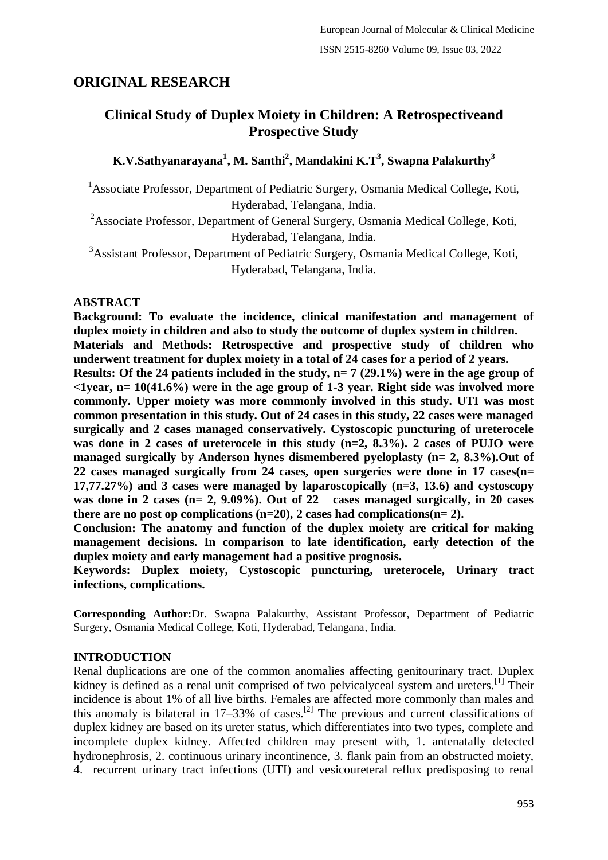# **ORIGINAL RESEARCH**

# **Clinical Study of Duplex Moiety in Children: A Retrospectiveand Prospective Study**

**K.V.Sathyanarayana<sup>1</sup> , M. Santhi<sup>2</sup> , Mandakini K.T<sup>3</sup> , Swapna Palakurthy<sup>3</sup>**

<sup>1</sup> Associate Professor, Department of Pediatric Surgery, Osmania Medical College, Koti, Hyderabad, Telangana, India.

<sup>2</sup>Associate Professor, Department of General Surgery, Osmania Medical College, Koti, Hyderabad, Telangana, India.

<sup>3</sup>Assistant Professor, Department of Pediatric Surgery, Osmania Medical College, Koti, Hyderabad, Telangana, India.

#### **ABSTRACT**

**Background: To evaluate the incidence, clinical manifestation and management of duplex moiety in children and also to study the outcome of duplex system in children. Materials and Methods: Retrospective and prospective study of children who underwent treatment for duplex moiety in a total of 24 cases for a period of 2 years. Results: Of the 24 patients included in the study, n= 7 (29.1%) were in the age group of <1year, n= 10(41.6%) were in the age group of 1-3 year. Right side was involved more commonly. Upper moiety was more commonly involved in this study. UTI was most common presentation in this study. Out of 24 cases in this study, 22 cases were managed surgically and 2 cases managed conservatively. Cystoscopic puncturing of ureterocele was done in 2 cases of ureterocele in this study (n=2, 8.3%). 2 cases of PUJO were managed surgically by Anderson hynes dismembered pyeloplasty (n= 2, 8.3%).Out of 22 cases managed surgically from 24 cases, open surgeries were done in 17 cases(n= 17,77.27%) and 3 cases were managed by laparoscopically (n=3, 13.6) and cystoscopy was done in 2 cases (n= 2, 9.09%). Out of 22 cases managed surgically, in 20 cases**  there are no post op complications  $(n=20)$ , 2 cases had complications  $(n=2)$ .

**Conclusion: The anatomy and function of the duplex moiety are critical for making management decisions. In comparison to late identification, early detection of the duplex moiety and early management had a positive prognosis.**

**Keywords: Duplex moiety, Cystoscopic puncturing, ureterocele, Urinary tract infections, complications.**

**Corresponding Author:**Dr. Swapna Palakurthy, Assistant Professor, Department of Pediatric Surgery, Osmania Medical College, Koti, Hyderabad, Telangana, India.

#### **INTRODUCTION**

Renal duplications are one of the common anomalies affecting genitourinary tract. Duplex kidney is defined as a renal unit comprised of two pelvicalyceal system and ureters.<sup>[1]</sup> Their incidence is about 1% of all live births. Females are affected more commonly than males and this anomaly is bilateral in 17–33% of cases.<sup>[2]</sup> The previous and current classifications of duplex kidney are based on its ureter status, which differentiates into two types, complete and incomplete duplex kidney. Affected children may present with, 1. antenatally detected hydronephrosis, 2. continuous urinary incontinence, 3. flank pain from an obstructed moiety, 4. recurrent urinary tract infections (UTI) and vesicoureteral reflux predisposing to renal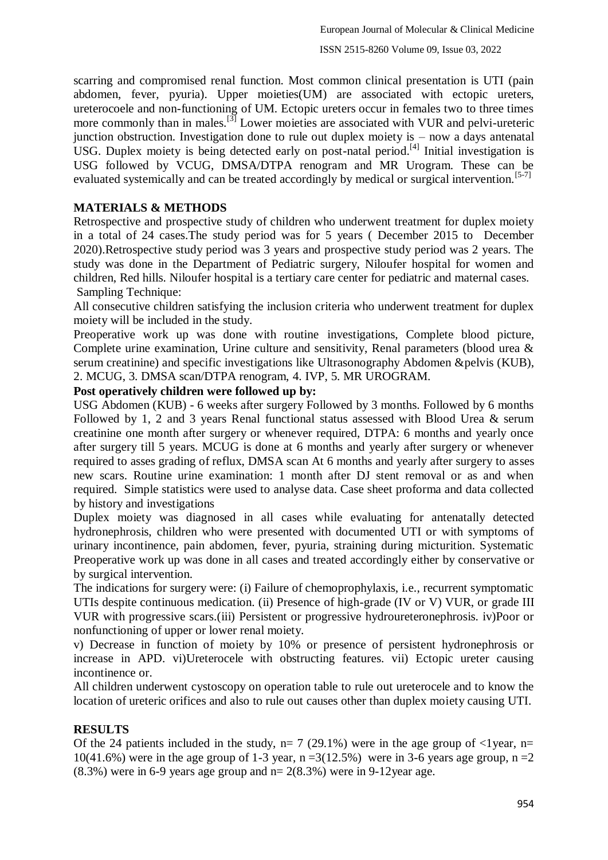scarring and compromised renal function. Most common clinical presentation is UTI (pain abdomen, fever, pyuria). Upper moieties(UM) are associated with ectopic ureters, ureterocoele and non-functioning of UM. Ectopic ureters occur in females two to three times more commonly than in males.<sup>[3]</sup> Lower moieties are associated with VUR and pelvi-ureteric junction obstruction. Investigation done to rule out duplex moiety is – now a days antenatal USG. Duplex moiety is being detected early on post-natal period.<sup>[4]</sup> Initial investigation is USG followed by VCUG, DMSA/DTPA renogram and MR Urogram. These can be evaluated systemically and can be treated accordingly by medical or surgical intervention.<sup>[5-7]</sup>

# **MATERIALS & METHODS**

Retrospective and prospective study of children who underwent treatment for duplex moiety in a total of 24 cases.The study period was for 5 years ( December 2015 to December 2020).Retrospective study period was 3 years and prospective study period was 2 years. The study was done in the Department of Pediatric surgery, Niloufer hospital for women and children, Red hills. Niloufer hospital is a tertiary care center for pediatric and maternal cases. Sampling Technique:

All consecutive children satisfying the inclusion criteria who underwent treatment for duplex moiety will be included in the study.

Preoperative work up was done with routine investigations, Complete blood picture, Complete urine examination, Urine culture and sensitivity, Renal parameters (blood urea & serum creatinine) and specific investigations like Ultrasonography Abdomen &pelvis (KUB), 2. MCUG, 3. DMSA scan/DTPA renogram, 4. IVP, 5. MR UROGRAM.

# **Post operatively children were followed up by:**

USG Abdomen (KUB) - 6 weeks after surgery Followed by 3 months. Followed by 6 months Followed by 1, 2 and 3 years Renal functional status assessed with Blood Urea & serum creatinine one month after surgery or whenever required, DTPA: 6 months and yearly once after surgery till 5 years. MCUG is done at 6 months and yearly after surgery or whenever required to asses grading of reflux, DMSA scan At 6 months and yearly after surgery to asses new scars. Routine urine examination: 1 month after DJ stent removal or as and when required. Simple statistics were used to analyse data. Case sheet proforma and data collected by history and investigations

Duplex moiety was diagnosed in all cases while evaluating for antenatally detected hydronephrosis, children who were presented with documented UTI or with symptoms of urinary incontinence, pain abdomen, fever, pyuria, straining during micturition. Systematic Preoperative work up was done in all cases and treated accordingly either by conservative or by surgical intervention.

The indications for surgery were: (i) Failure of chemoprophylaxis, i.e., recurrent symptomatic UTIs despite continuous medication. (ii) Presence of high-grade (IV or V) VUR, or grade III VUR with progressive scars.(iii) Persistent or progressive hydroureteronephrosis. iv)Poor or nonfunctioning of upper or lower renal moiety.

v) Decrease in function of moiety by 10% or presence of persistent hydronephrosis or increase in APD. vi)Ureterocele with obstructing features. vii) Ectopic ureter causing incontinence or.

All children underwent cystoscopy on operation table to rule out ureterocele and to know the location of ureteric orifices and also to rule out causes other than duplex moiety causing UTI.

# **RESULTS**

Of the 24 patients included in the study,  $n= 7$  (29.1%) were in the age group of  $\langle$ 1 year, n= 10(41.6%) were in the age group of 1-3 year,  $n = 3(12.5\%)$  were in 3-6 years age group,  $n = 2$  $(8.3\%)$  were in 6-9 years age group and n= 2 $(8.3\%)$  were in 9-12year age.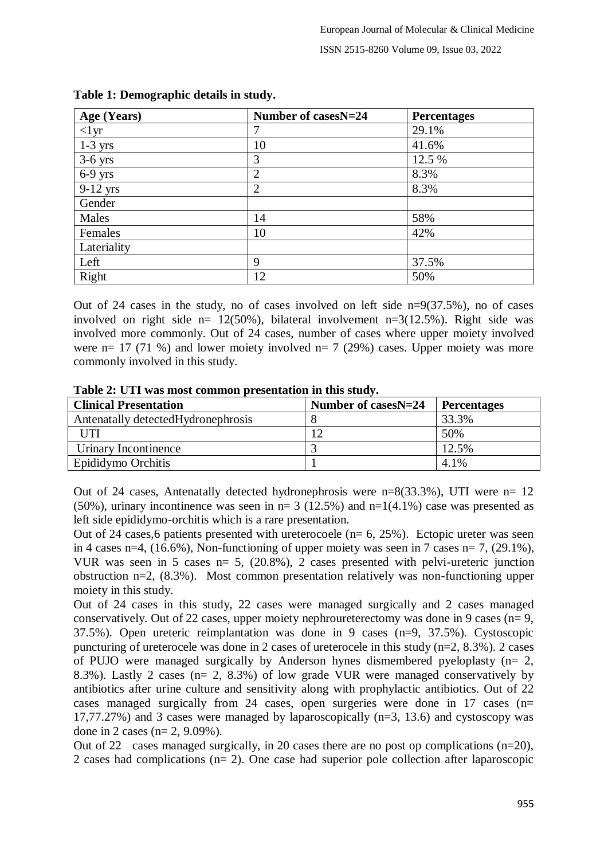| Age (Years) | Number of casesN=24 | <b>Percentages</b> |
|-------------|---------------------|--------------------|
| $<1$ yr     | 7                   | 29.1%              |
| $1-3$ yrs   | 10                  | 41.6%              |
| $3-6$ yrs   | 3                   | 12.5 %             |
| $6-9$ yrs   | $\overline{2}$      | 8.3%               |
| $9-12$ yrs  | $\overline{2}$      | 8.3%               |
| Gender      |                     |                    |
| Males       | 14                  | 58%                |
| Females     | 10                  | 42%                |
| Lateriality |                     |                    |
| Left        | 9                   | 37.5%              |
| Right       | 12                  | 50%                |

#### **Table 1: Demographic details in study.**

Out of 24 cases in the study, no of cases involved on left side  $n=9(37.5\%)$ , no of cases involved on right side  $n= 12(50\%)$ , bilateral involvement  $n=3(12.5\%)$ . Right side was involved more commonly. Out of 24 cases, number of cases where upper moiety involved were  $n= 17$  (71 %) and lower moiety involved  $n= 7$  (29%) cases. Upper moiety was more commonly involved in this study.

| Table 2: UTI was most common presentation in this study. |  |  |
|----------------------------------------------------------|--|--|
|----------------------------------------------------------|--|--|

| <b>Clinical Presentation</b>        | Number of casesN=24 | <b>Percentages</b> |  |
|-------------------------------------|---------------------|--------------------|--|
| Antenatally detected Hydronephrosis |                     | 33.3%              |  |
| UTI                                 |                     | 50%                |  |
| Urinary Incontinence                |                     | 12.5%              |  |
| Epididymo Orchitis                  |                     | 4.1%               |  |

Out of 24 cases, Antenatally detected hydronephrosis were n=8(33.3%), UTI were n= 12 (50%), urinary incontinence was seen in  $n= 3$  (12.5%) and  $n=1(4.1\%)$  case was presented as left side epididymo-orchitis which is a rare presentation.

Out of 24 cases, 6 patients presented with ureterocoele  $(n= 6, 25\%)$ . Ectopic ureter was seen in 4 cases n=4,  $(16.6\%)$ , Non-functioning of upper moiety was seen in 7 cases n= 7,  $(29.1\%)$ , VUR was seen in 5 cases n= 5, (20.8%), 2 cases presented with pelvi-ureteric junction obstruction n=2, (8.3%). Most common presentation relatively was non-functioning upper moiety in this study.

Out of 24 cases in this study, 22 cases were managed surgically and 2 cases managed conservatively. Out of 22 cases, upper moiety nephroureterectomy was done in 9 cases ( $n=9$ , 37.5%). Open ureteric reimplantation was done in 9 cases (n=9, 37.5%). Cystoscopic puncturing of ureterocele was done in 2 cases of ureterocele in this study (n=2, 8.3%). 2 cases of PUJO were managed surgically by Anderson hynes dismembered pyeloplasty (n= 2, 8.3%). Lastly 2 cases (n= 2, 8.3%) of low grade VUR were managed conservatively by antibiotics after urine culture and sensitivity along with prophylactic antibiotics. Out of 22 cases managed surgically from 24 cases, open surgeries were done in 17 cases (n= 17,77.27%) and 3 cases were managed by laparoscopically (n=3, 13.6) and cystoscopy was done in 2 cases (n= 2, 9.09%).

Out of 22 cases managed surgically, in 20 cases there are no post op complications (n=20), 2 cases had complications (n= 2). One case had superior pole collection after laparoscopic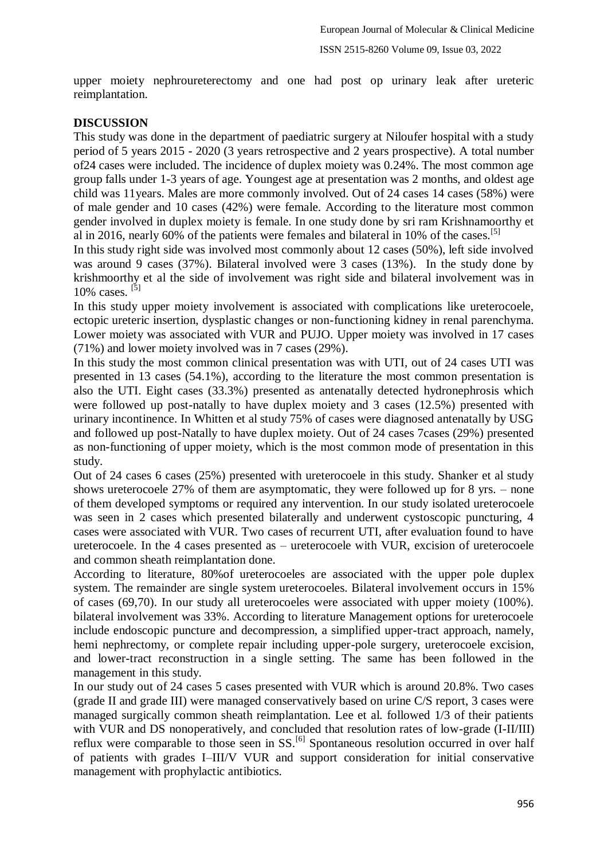upper moiety nephroureterectomy and one had post op urinary leak after ureteric reimplantation.

### **DISCUSSION**

This study was done in the department of paediatric surgery at Niloufer hospital with a study period of 5 years 2015 - 2020 (3 years retrospective and 2 years prospective). A total number of24 cases were included. The incidence of duplex moiety was 0.24%. The most common age group falls under 1-3 years of age. Youngest age at presentation was 2 months, and oldest age child was 11years. Males are more commonly involved. Out of 24 cases 14 cases (58%) were of male gender and 10 cases (42%) were female. According to the literature most common gender involved in duplex moiety is female. In one study done by sri ram Krishnamoorthy et al in 2016, nearly 60% of the patients were females and bilateral in 10% of the cases.<sup>[5]</sup>

In this study right side was involved most commonly about 12 cases (50%), left side involved was around 9 cases (37%). Bilateral involved were 3 cases (13%). In the study done by krishmoorthy et al the side of involvement was right side and bilateral involvement was in  $10\%$  cases.  $^{[5]}$ 

In this study upper moiety involvement is associated with complications like ureterocoele, ectopic ureteric insertion, dysplastic changes or non-functioning kidney in renal parenchyma. Lower moiety was associated with VUR and PUJO. Upper moiety was involved in 17 cases (71%) and lower moiety involved was in 7 cases (29%).

In this study the most common clinical presentation was with UTI, out of 24 cases UTI was presented in 13 cases (54.1%), according to the literature the most common presentation is also the UTI. Eight cases (33.3%) presented as antenatally detected hydronephrosis which were followed up post-natally to have duplex moiety and 3 cases (12.5%) presented with urinary incontinence. In Whitten et al study 75% of cases were diagnosed antenatally by USG and followed up post-Natally to have duplex moiety. Out of 24 cases 7cases (29%) presented as non-functioning of upper moiety, which is the most common mode of presentation in this study.

Out of 24 cases 6 cases (25%) presented with ureterocoele in this study. Shanker et al study shows ureterocoele 27% of them are asymptomatic, they were followed up for 8 yrs. – none of them developed symptoms or required any intervention. In our study isolated ureterocoele was seen in 2 cases which presented bilaterally and underwent cystoscopic puncturing, 4 cases were associated with VUR. Two cases of recurrent UTI, after evaluation found to have ureterocoele. In the 4 cases presented as – ureterocoele with VUR, excision of ureterocoele and common sheath reimplantation done.

According to literature, 80%of ureterocoeles are associated with the upper pole duplex system. The remainder are single system ureterocoeles. Bilateral involvement occurs in 15% of cases (69,70). In our study all ureterocoeles were associated with upper moiety (100%). bilateral involvement was 33%. According to literature Management options for ureterocoele include endoscopic puncture and decompression, a simplified upper-tract approach, namely, hemi nephrectomy, or complete repair including upper-pole surgery, ureterocoele excision, and lower-tract reconstruction in a single setting. The same has been followed in the management in this study.

In our study out of 24 cases 5 cases presented with VUR which is around 20.8%. Two cases (grade II and grade III) were managed conservatively based on urine C/S report, 3 cases were managed surgically common sheath reimplantation. Lee et al. followed 1/3 of their patients with VUR and DS nonoperatively, and concluded that resolution rates of low-grade (I-II/III) reflux were comparable to those seen in SS.<sup>[6]</sup> Spontaneous resolution occurred in over half of patients with grades I–III/V VUR and support consideration for initial conservative management with prophylactic antibiotics.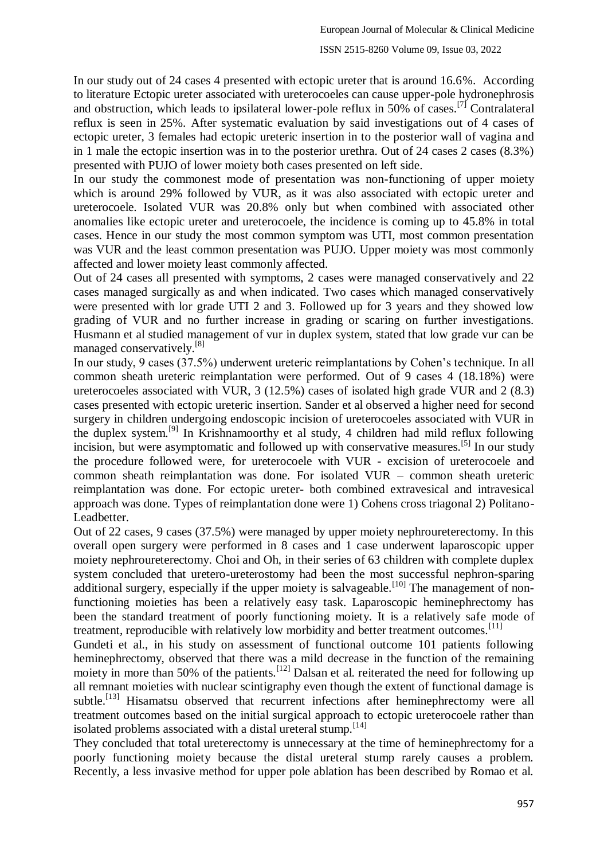In our study out of 24 cases 4 presented with ectopic ureter that is around 16.6%. According to literature Ectopic ureter associated with ureterocoeles can cause upper-pole hydronephrosis and obstruction, which leads to ipsilateral lower-pole reflux in 50% of cases.<sup>[7]</sup> Contralateral reflux is seen in 25%. After systematic evaluation by said investigations out of 4 cases of ectopic ureter, 3 females had ectopic ureteric insertion in to the posterior wall of vagina and in 1 male the ectopic insertion was in to the posterior urethra. Out of 24 cases 2 cases (8.3%) presented with PUJO of lower moiety both cases presented on left side.

In our study the commonest mode of presentation was non-functioning of upper moiety which is around 29% followed by VUR, as it was also associated with ectopic ureter and ureterocoele. Isolated VUR was 20.8% only but when combined with associated other anomalies like ectopic ureter and ureterocoele, the incidence is coming up to 45.8% in total cases. Hence in our study the most common symptom was UTI, most common presentation was VUR and the least common presentation was PUJO. Upper moiety was most commonly affected and lower moiety least commonly affected.

Out of 24 cases all presented with symptoms, 2 cases were managed conservatively and 22 cases managed surgically as and when indicated. Two cases which managed conservatively were presented with lor grade UTI 2 and 3. Followed up for 3 years and they showed low grading of VUR and no further increase in grading or scaring on further investigations. Husmann et al studied management of vur in duplex system, stated that low grade vur can be managed conservatively.<sup>[8]</sup>

In our study, 9 cases (37.5%) underwent ureteric reimplantations by Cohen's technique. In all common sheath ureteric reimplantation were performed. Out of 9 cases 4 (18.18%) were ureterocoeles associated with VUR, 3 (12.5%) cases of isolated high grade VUR and 2 (8.3) cases presented with ectopic ureteric insertion. Sander et al observed a higher need for second surgery in children undergoing endoscopic incision of ureterocoeles associated with VUR in the duplex system.[9] In Krishnamoorthy et al study, 4 children had mild reflux following incision, but were asymptomatic and followed up with conservative measures.<sup>[5]</sup> In our study the procedure followed were, for ureterocoele with VUR - excision of ureterocoele and common sheath reimplantation was done. For isolated VUR – common sheath ureteric reimplantation was done. For ectopic ureter- both combined extravesical and intravesical approach was done. Types of reimplantation done were 1) Cohens cross triagonal 2) Politano-Leadbetter.

Out of 22 cases, 9 cases (37.5%) were managed by upper moiety nephroureterectomy. In this overall open surgery were performed in 8 cases and 1 case underwent laparoscopic upper moiety nephroureterectomy. Choi and Oh, in their series of 63 children with complete duplex system concluded that uretero-ureterostomy had been the most successful nephron-sparing additional surgery, especially if the upper moiety is salvageable.<sup>[10]</sup> The management of nonfunctioning moieties has been a relatively easy task. Laparoscopic heminephrectomy has been the standard treatment of poorly functioning moiety. It is a relatively safe mode of treatment, reproducible with relatively low morbidity and better treatment outcomes.<sup>[11]</sup>

Gundeti et al., in his study on assessment of functional outcome 101 patients following heminephrectomy, observed that there was a mild decrease in the function of the remaining moiety in more than 50% of the patients.<sup>[12]</sup> Dalsan et al. reiterated the need for following up all remnant moieties with nuclear scintigraphy even though the extent of functional damage is subtle.<sup>[13]</sup> Hisamatsu observed that recurrent infections after heminephrectomy were all treatment outcomes based on the initial surgical approach to ectopic ureterocoele rather than isolated problems associated with a distal ureteral stump.  $[14]$ 

They concluded that total ureterectomy is unnecessary at the time of heminephrectomy for a poorly functioning moiety because the distal ureteral stump rarely causes a problem. Recently, a less invasive method for upper pole ablation has been described by Romao et al.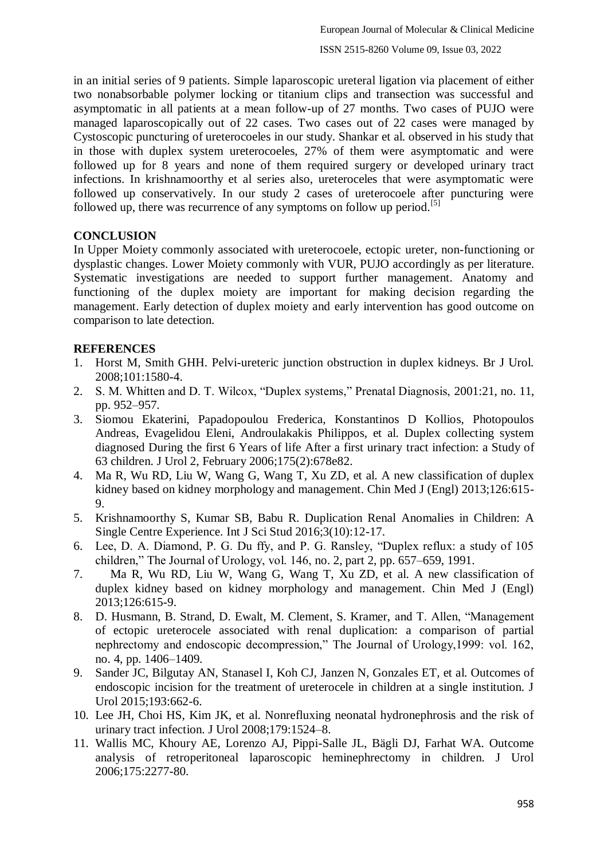in an initial series of 9 patients. Simple laparoscopic ureteral ligation via placement of either two nonabsorbable polymer locking or titanium clips and transection was successful and asymptomatic in all patients at a mean follow-up of 27 months. Two cases of PUJO were managed laparoscopically out of 22 cases. Two cases out of 22 cases were managed by Cystoscopic puncturing of ureterocoeles in our study. Shankar et al. observed in his study that in those with duplex system ureterocoeles, 27% of them were asymptomatic and were followed up for 8 years and none of them required surgery or developed urinary tract infections. In krishnamoorthy et al series also, ureteroceles that were asymptomatic were followed up conservatively. In our study 2 cases of ureterocoele after puncturing were followed up, there was recurrence of any symptoms on follow up period.<sup>[5]</sup>

# **CONCLUSION**

In Upper Moiety commonly associated with ureterocoele, ectopic ureter, non-functioning or dysplastic changes. Lower Moiety commonly with VUR, PUJO accordingly as per literature. Systematic investigations are needed to support further management. Anatomy and functioning of the duplex moiety are important for making decision regarding the management. Early detection of duplex moiety and early intervention has good outcome on comparison to late detection.

#### **REFERENCES**

- 1. Horst M, Smith GHH. Pelvi-ureteric junction obstruction in duplex kidneys. Br J Urol. 2008;101:1580-4.
- 2. S. M. Whitten and D. T. Wilcox, "Duplex systems," Prenatal Diagnosis, 2001:21, no. 11, pp. 952–957.
- 3. Siomou Ekaterini, Papadopoulou Frederica, Konstantinos D Kollios, Photopoulos Andreas, Evagelidou Eleni, Androulakakis Philippos, et al. Duplex collecting system diagnosed During the first 6 Years of life After a first urinary tract infection: a Study of 63 children. J Urol 2, February 2006;175(2):678e82.
- 4. Ma R, Wu RD, Liu W, Wang G, Wang T, Xu ZD, et al. A new classification of duplex kidney based on kidney morphology and management. Chin Med J (Engl) 2013;126:615- 9.
- 5. Krishnamoorthy S, Kumar SB, Babu R. Duplication Renal Anomalies in Children: A Single Centre Experience. Int J Sci Stud 2016;3(10):12-17.
- 6. Lee, D. A. Diamond, P. G. Du ffy, and P. G. Ransley, "Duplex reflux: a study of 105 children," The Journal of Urology, vol. 146, no. 2, part 2, pp. 657–659, 1991.
- 7. Ma R, Wu RD, Liu W, Wang G, Wang T, Xu ZD, et al. A new classification of duplex kidney based on kidney morphology and management. Chin Med J (Engl) 2013;126:615-9.
- 8. D. Husmann, B. Strand, D. Ewalt, M. Clement, S. Kramer, and T. Allen, "Management of ectopic ureterocele associated with renal duplication: a comparison of partial nephrectomy and endoscopic decompression," The Journal of Urology,1999: vol. 162, no. 4, pp. 1406–1409.
- 9. Sander JC, Bilgutay AN, Stanasel I, Koh CJ, Janzen N, Gonzales ET, et al. Outcomes of endoscopic incision for the treatment of ureterocele in children at a single institution. J Urol 2015;193:662-6.
- 10. Lee JH, Choi HS, Kim JK, et al. Nonrefluxing neonatal hydronephrosis and the risk of urinary tract infection. J Urol 2008;179:1524–8.
- 11. Wallis MC, Khoury AE, Lorenzo AJ, Pippi-Salle JL, Bägli DJ, Farhat WA. Outcome analysis of retroperitoneal laparoscopic heminephrectomy in children. J Urol 2006;175:2277-80.